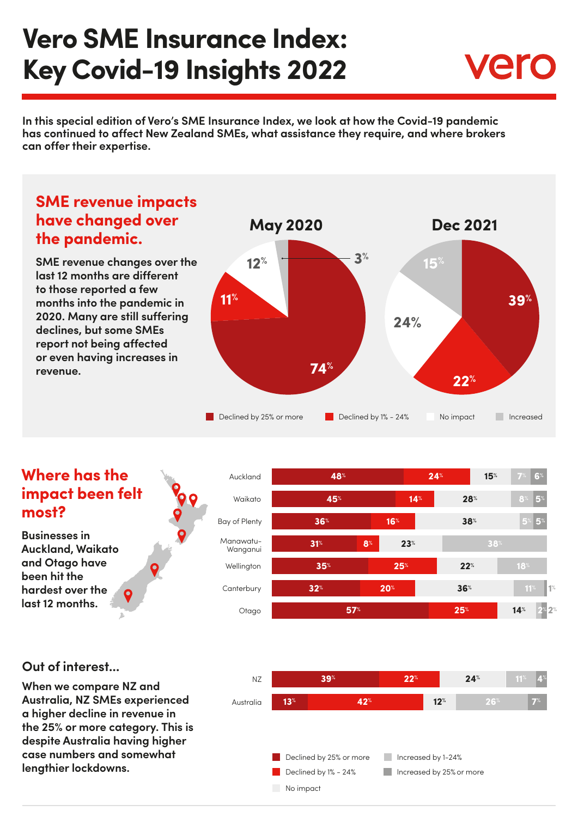# **Vero SME Insurance Index: Key Covid-19 Insights 2022**



**In this special edition of Vero's SME Insurance Index, we look at how the Covid-19 pandemic has continued to affect New Zealand SMEs, what assistance they require, and where brokers can offer their expertise.**



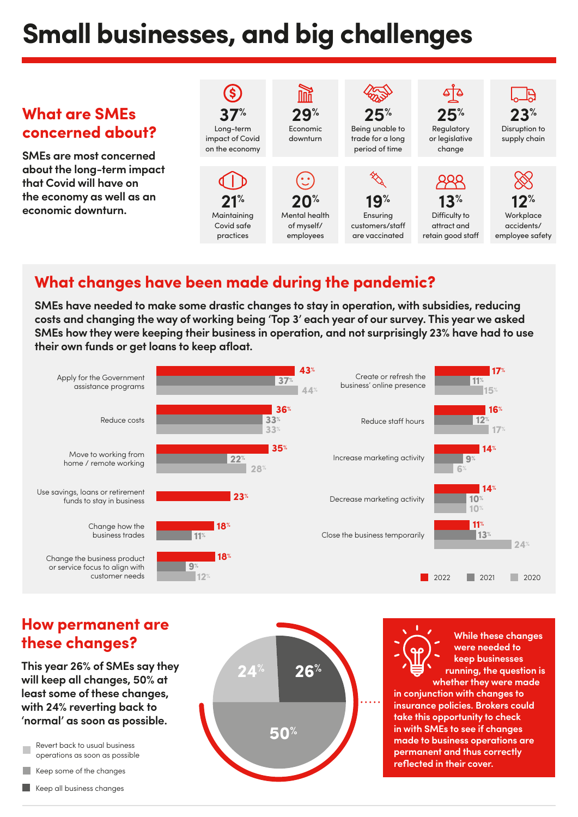# **Small businesses, and big challenges**

#### $\mathbf{\hat{s}}$ **The What are SMEs 25% 25% 23% 29% 37%** Long-term Economic Being unable to Regulatory Disruption to **concerned about?** or legislative impact of Covid downturn trade for a long supply chain on the economy period of time change **SMEs are most concerned about the long-term impact that Covid will have on the economy as well as an 21% 13% 12% 19% 20% economic downturn. Maintaining** Mental health Ensuring Difficulty to **Workplace** Covid safe of myself/ attract and accidents/ customers/staff practices employees are vaccinated retain good staff employee safety

## **What changes have been made during the pandemic?**

**SMEs have needed to make some drastic changes to stay in operation, with subsidies, reducing costs and changing the way of working being 'Top 3' each year of our survey. This year we asked SMEs how they were keeping their business in operation, and not surprisingly 23% have had to use their own funds or get loans to keep afloat.**



#### **How permanent are these changes?**

**This year 26% of SMEs say they will keep all changes, 50% at least some of these changes, with 24% reverting back to 'normal' as soon as possible.**

Revert back to usual business operations as soon as possible

Keep some of the changes

Keep all business changes



**While these changes were needed to keep businesses running, the question is whether they were made** 

**in conjunction with changes to insurance policies. Brokers could take this opportunity to check in with SMEs to see if changes made to business operations are permanent and thus correctly reflected in their cover.**